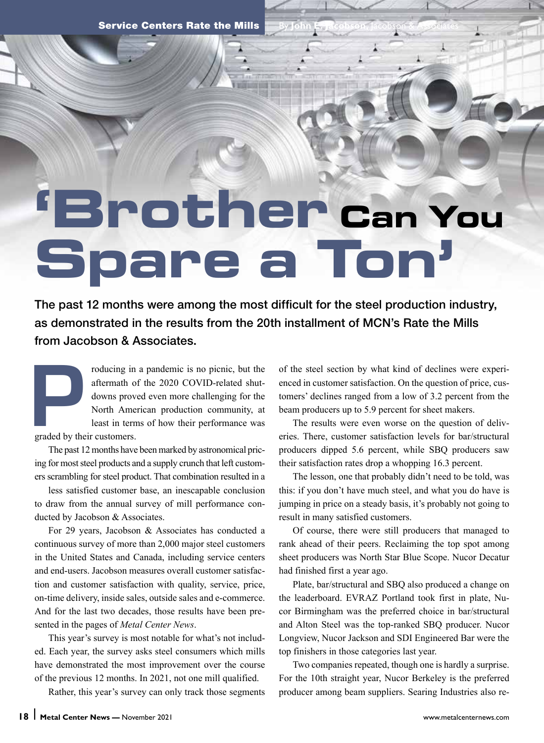Service Centers Rate the Mills

# **'Brother Can You Spare a Ton'**

The past 12 months were among the most difficult for the steel production industry, as demonstrated in the results from the 20th installment of MCN's Rate the Mills from Jacobson & Associates.

roducing in a pandemic is no picnic, but the aftermath of the 2020 COVID-related shut-<br>downs proved even more challenging for the North American production community, at least in terms of how their performance was graded b aftermath of the 2020 COVID-related shutdowns proved even more challenging for the North American production community, at least in terms of how their performance was graded by their customers.

The past 12 months have been marked by astronomical pricing for most steel products and a supply crunch that left customers scrambling for steel product. That combination resulted in a

less satisfied customer base, an inescapable conclusion to draw from the annual survey of mill performance conducted by Jacobson & Associates.

For 29 years, Jacobson & Associates has conducted a continuous survey of more than 2,000 major steel customers in the United States and Canada, including service centers and end-users. Jacobson measures overall customer satisfaction and customer satisfaction with quality, service, price, on-time delivery, inside sales, outside sales and e-commerce. And for the last two decades, those results have been presented in the pages of *Metal Center News*.

This year's survey is most notable for what's not included. Each year, the survey asks steel consumers which mills have demonstrated the most improvement over the course of the previous 12 months. In 2021, not one mill qualified.

Rather, this year's survey can only track those segments

of the steel section by what kind of declines were experienced in customer satisfaction. On the question of price, customers' declines ranged from a low of 3.2 percent from the beam producers up to 5.9 percent for sheet makers.

By **John E. Jacobson,** Jacobson & Associates

The results were even worse on the question of deliveries. There, customer satisfaction levels for bar/structural producers dipped 5.6 percent, while SBQ producers saw their satisfaction rates drop a whopping 16.3 percent.

The lesson, one that probably didn't need to be told, was this: if you don't have much steel, and what you do have is jumping in price on a steady basis, it's probably not going to result in many satisfied customers.

Of course, there were still producers that managed to rank ahead of their peers. Reclaiming the top spot among sheet producers was North Star Blue Scope. Nucor Decatur had finished first a year ago.

Plate, bar/structural and SBQ also produced a change on the leaderboard. EVRAZ Portland took first in plate, Nucor Birmingham was the preferred choice in bar/structural and Alton Steel was the top-ranked SBQ producer. Nucor Longview, Nucor Jackson and SDI Engineered Bar were the top finishers in those categories last year.

Two companies repeated, though one is hardly a surprise. For the 10th straight year, Nucor Berkeley is the preferred producer among beam suppliers. Searing Industries also re-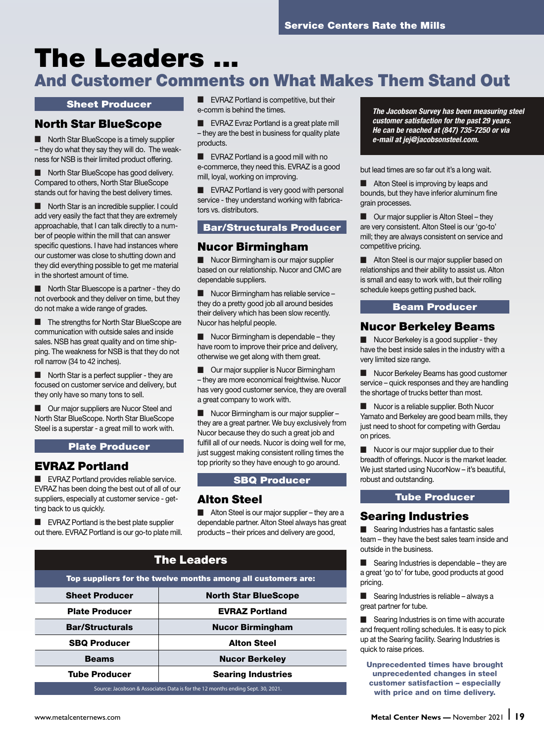# The Leaders ...

# And Customer Comments on What Makes Them Stand Out

#### Sheet Producer

### North Star BlueScope

North Star BlueScope is a timely supplier – they do what they say they will do. The weakness for NSB is their limited product offering.

North Star BlueScope has good delivery. Compared to others, North Star BlueScope stands out for having the best delivery times.

■ North Star is an incredible supplier. I could add very easily the fact that they are extremely approachable, that I can talk directly to a number of people within the mill that can answer specific questions. I have had instances where our customer was close to shutting down and they did everything possible to get me material in the shortest amount of time.

North Star Bluescope is a partner - they do not overbook and they deliver on time, but they do not make a wide range of grades.

The strengths for North Star BlueScope are communication with outside sales and inside sales. NSB has great quality and on time shipping. The weakness for NSB is that they do not roll narrow (34 to 42 inches).

■ North Star is a perfect supplier - they are focused on customer service and delivery, but they only have so many tons to sell.

Our major suppliers are Nucor Steel and North Star BlueScope. North Star BlueScope Steel is a superstar - a great mill to work with.

#### Plate Producer

#### EVRAZ Portland

■ EVRAZ Portland provides reliable service. EVRAZ has been doing the best out of all of our suppliers, especially at customer service - getting back to us quickly.

■ EVRAZ Portland is the best plate supplier out there. EVRAZ Portland is our go-to plate mill. ■ EVRAZ Portland is competitive, but their e-comm is behind the times.

■ EVRAZ Evraz Portland is a great plate mill – they are the best in business for quality plate products.

■ EVRAZ Portland is a good mill with no e-commerce, they need this. EVRAZ is a good mill, loyal, working on improving.

■ EVRAZ Portland is very good with personal service - they understand working with fabricators vs. distributors.

#### Bar/Structurals Producer

#### Nucor Birmingham

■ Nucor Birmingham is our major supplier based on our relationship. Nucor and CMC are dependable suppliers.

■ Nucor Birmingham has reliable service – they do a pretty good job all around besides their delivery which has been slow recently. Nucor has helpful people.

Nucor Birmingham is dependable - they have room to improve their price and delivery, otherwise we get along with them great.

■ Our major supplier is Nucor Birmingham – they are more economical freightwise. Nucor has very good customer service, they are overall a great company to work with.

■ Nucor Birmingham is our major supplier – they are a great partner. We buy exclusively from Nucor because they do such a great job and fulfill all of our needs. Nucor is doing well for me, just suggest making consistent rolling times the top priority so they have enough to go around.

#### SBQ Producer

#### Alton Steel

■ Alton Steel is our major supplier – they are a dependable partner. Alton Steel always has great products – their prices and delivery are good,

| <b>The Leaders</b>                                                             |                             |  |
|--------------------------------------------------------------------------------|-----------------------------|--|
| Top suppliers for the twelve months among all customers are:                   |                             |  |
| <b>Sheet Producer</b>                                                          | <b>North Star BlueScope</b> |  |
| <b>Plate Producer</b>                                                          | <b>EVRAZ Portland</b>       |  |
| <b>Bar/Structurals</b>                                                         | <b>Nucor Birmingham</b>     |  |
| <b>SBQ Producer</b>                                                            | <b>Alton Steel</b>          |  |
| <b>Beams</b>                                                                   | <b>Nucor Berkeley</b>       |  |
| <b>Tube Producer</b>                                                           | <b>Searing Industries</b>   |  |
| Source: Jacobson & Associates Data is for the 12 months ending Sept. 30, 2021. |                             |  |

*The Jacobson Survey has been measuring steel customer satisfaction for the past 29 years. He can be reached at (847) 735-7250 or via e-mail at jej@jacobsonsteel.com.*

but lead times are so far out it's a long wait.

Alton Steel is improving by leaps and bounds, but they have inferior aluminum fine grain processes.

Our major supplier is Alton Steel - they are very consistent. Alton Steel is our 'go-to' mill; they are always consistent on service and competitive pricing.

■ Alton Steel is our major supplier based on relationships and their ability to assist us. Alton is small and easy to work with, but their rolling schedule keeps getting pushed back.

#### Beam Producer

#### Nucor Berkeley Beams

■ Nucor Berkeley is a good supplier - they have the best inside sales in the industry with a very limited size range.

Nucor Berkeley Beams has good customer service – quick responses and they are handling the shortage of trucks better than most.

Nucor is a reliable supplier. Both Nucor Yamato and Berkeley are good beam mills, they just need to shoot for competing with Gerdau on prices.

Nucor is our major supplier due to their breadth of offerings. Nucor is the market leader. We just started using NucorNow – it's beautiful, robust and outstanding.

#### Tube Producer

#### Searing Industries

■ Searing Industries has a fantastic sales team – they have the best sales team inside and outside in the business.

■ Searing Industries is dependable – they are a great 'go to' for tube, good products at good pricing.

■ Searing Industries is reliable – always a great partner for tube.

Searing Industries is on time with accurate and frequent rolling schedules. It is easy to pick up at the Searing facility. Searing Industries is quick to raise prices.

Unprecedented times have brought unprecedented changes in steel customer satisfaction – especially with price and on time delivery.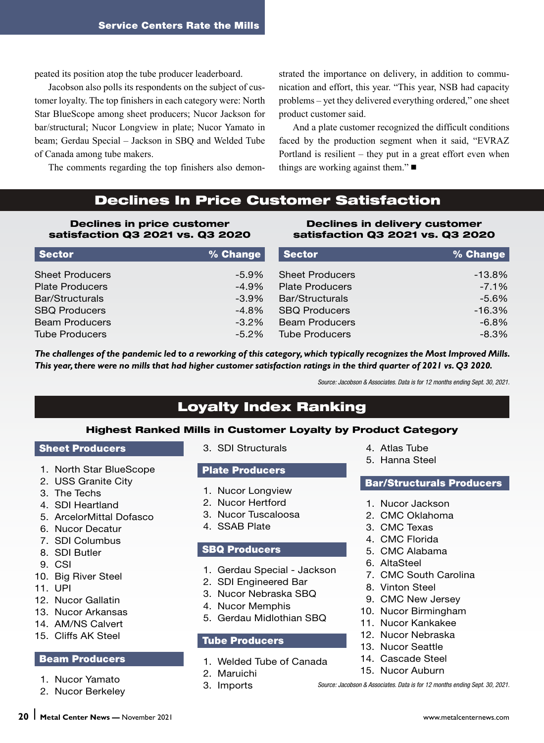peated its position atop the tube producer leaderboard.

Jacobson also polls its respondents on the subject of customer loyalty. The top finishers in each category were: North Star BlueScope among sheet producers; Nucor Jackson for bar/structural; Nucor Longview in plate; Nucor Yamato in beam; Gerdau Special – Jackson in SBQ and Welded Tube of Canada among tube makers.

The comments regarding the top finishers also demon-

strated the importance on delivery, in addition to communication and effort, this year. "This year, NSB had capacity problems – yet they delivered everything ordered," one sheet product customer said.

And a plate customer recognized the difficult conditions faced by the production segment when it said, "EVRAZ Portland is resilient – they put in a great effort even when things are working against them." $\blacksquare$ 

## Declines In Price Customer Satisfaction

#### Declines in price customer satisfaction Q3 2021 vs. Q3 2020

#### Declines in delivery customer satisfaction Q3 2021 vs. Q3 2020

| Sector                 | % Change | <b>Sector</b>          | % Change $ $ |
|------------------------|----------|------------------------|--------------|
| <b>Sheet Producers</b> | $-5.9\%$ | <b>Sheet Producers</b> | $-13.8%$     |
| <b>Plate Producers</b> | $-4.9%$  | <b>Plate Producers</b> | $-7.1%$      |
| Bar/Structurals        | $-3.9\%$ | Bar/Structurals        | $-5.6\%$     |
| <b>SBQ Producers</b>   | $-4.8%$  | <b>SBQ Producers</b>   | $-16.3%$     |
| <b>Beam Producers</b>  | $-3.2\%$ | <b>Beam Producers</b>  | $-6.8%$      |
| <b>Tube Producers</b>  | $-5.2\%$ | <b>Tube Producers</b>  | $-8.3%$      |

*The challenges of the pandemic led to a reworking of this category, which typically recognizes the Most Improved Mills. This year, there were no mills that had higher customer satisfaction ratings in the third quarter of 2021 vs. Q3 2020.*

*Source: Jacobson & Associates. Data is for 12 months ending Sept. 30, 2021.*

# Loyalty Index Ranking

#### Highest Ranked Mills in Customer Loyalty by Product Category

#### Sheet Producers

- 1. North Star BlueScope
- 2. USS Granite City
- 3. The Techs
- 4. SDI Heartland
- 5. ArcelorMittal Dofasco
- 6. Nucor Decatur
- 7. SDI Columbus
- 8. SDI Butler
- 9. CSI
- 10. Big River Steel
- 11. UPI
- 12. Nucor Gallatin
- 13. Nucor Arkansas
- 14. AM/NS Calvert
- 15. Cliffs AK Steel

#### Beam Producers

- 1. Nucor Yamato
- 2. Nucor Berkeley

3. SDI Structurals

#### Plate Producers

- 1. Nucor Longview
- 2. Nucor Hertford
- 3. Nucor Tuscaloosa
- 4. SSAB Plate

#### SBQ Producers

- 1. Gerdau Special Jackson
- 2. SDI Engineered Bar
- 3. Nucor Nebraska SBQ
- 4. Nucor Memphis
- 5. Gerdau Midlothian SBQ

#### Tube Producers

- 1. Welded Tube of Canada
- 2. Maruichi
- 3. Imports
- 4. Atlas Tube
- 5. Hanna Steel

#### Bar/Structurals Producers

- 1. Nucor Jackson
- 2. CMC Oklahoma
- 3. CMC Texas
- 4. CMC Florida
- 5. CMC Alabama
- 6. AltaSteel
- 7. CMC South Carolina
- 8. Vinton Steel
- 9. CMC New Jersey
- 10. Nucor Birmingham
- 11. Nucor Kankakee
- 12. Nucor Nebraska
- 13. Nucor Seattle
- 14. Cascade Steel
- 15. Nucor Auburn

*Source: Jacobson & Associates. Data is for 12 months ending Sept. 30, 2021.*

**<sup>20</sup>** ❘ **Metal Center News —** November 2021 www.metalcenternews.com